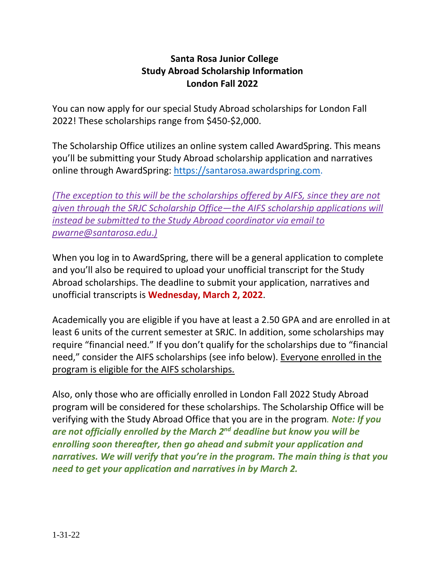## **Santa Rosa Junior College Study Abroad Scholarship Information London Fall 2022**

You can now apply for our special Study Abroad scholarships for London Fall 2022! These scholarships range from \$450-\$2,000.

The Scholarship Office utilizes an online system called AwardSpring. This means you'll be submitting your Study Abroad scholarship application and narratives online through AwardSpring: [https://santarosa.awardspring.com.](https://santarosa.awardspring.com/)

*(The exception to this will be the scholarships offered by AIFS, since they are not given through the SRJC Scholarship Office—the AIFS scholarship applications will instead be submitted to the Study Abroad coordinator via email to [pwarne@santarosa.edu](mailto:pwarne@santarosa.edu)*.*)*

When you log in to AwardSpring, there will be a general application to complete and you'll also be required to upload your unofficial transcript for the Study Abroad scholarships. The deadline to submit your application, narratives and unofficial transcripts is **Wednesday, March 2, 2022**.

Academically you are eligible if you have at least a 2.50 GPA and are enrolled in at least 6 units of the current semester at SRJC. In addition, some scholarships may require "financial need." If you don't qualify for the scholarships due to "financial need," consider the AIFS scholarships (see info below). Everyone enrolled in the program is eligible for the AIFS scholarships.

Also, only those who are officially enrolled in London Fall 2022 Study Abroad program will be considered for these scholarships. The Scholarship Office will be verifying with the Study Abroad Office that you are in the program*. Note: If you are not officially enrolled by the March 2nd deadline but know you will be enrolling soon thereafter, then go ahead and submit your application and narratives. We will verify that you're in the program. The main thing is that you need to get your application and narratives in by March 2.*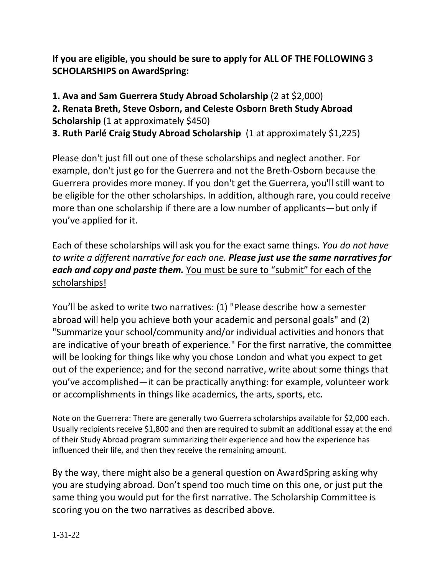**If you are eligible, you should be sure to apply for ALL OF THE FOLLOWING 3 SCHOLARSHIPS on AwardSpring:**

## **1. Ava and Sam Guerrera Study Abroad Scholarship** (2 at \$2,000) **2. Renata Breth, Steve Osborn, and Celeste Osborn Breth Study Abroad Scholarship** (1 at approximately \$450) **3. Ruth Parlé Craig Study Abroad Scholarship** (1 at approximately \$1,225)

Please don't just fill out one of these scholarships and neglect another. For example, don't just go for the Guerrera and not the Breth-Osborn because the Guerrera provides more money. If you don't get the Guerrera, you'll still want to be eligible for the other scholarships. In addition, although rare, you could receive more than one scholarship if there are a low number of applicants—but only if you've applied for it.

Each of these scholarships will ask you for the exact same things. *You do not have to write a different narrative for each one. Please just use the same narratives for each and copy and paste them.* You must be sure to "submit" for each of the scholarships!

You'll be asked to write two narratives: (1) "Please describe how a semester abroad will help you achieve both your academic and personal goals" and (2) "Summarize your school/community and/or individual activities and honors that are indicative of your breath of experience." For the first narrative, the committee will be looking for things like why you chose London and what you expect to get out of the experience; and for the second narrative, write about some things that you've accomplished—it can be practically anything: for example, volunteer work or accomplishments in things like academics, the arts, sports, etc.

Note on the Guerrera: There are generally two Guerrera scholarships available for \$2,000 each. Usually recipients receive \$1,800 and then are required to submit an additional essay at the end of their Study Abroad program summarizing their experience and how the experience has influenced their life, and then they receive the remaining amount.

By the way, there might also be a general question on AwardSpring asking why you are studying abroad. Don't spend too much time on this one, or just put the same thing you would put for the first narrative. The Scholarship Committee is scoring you on the two narratives as described above.